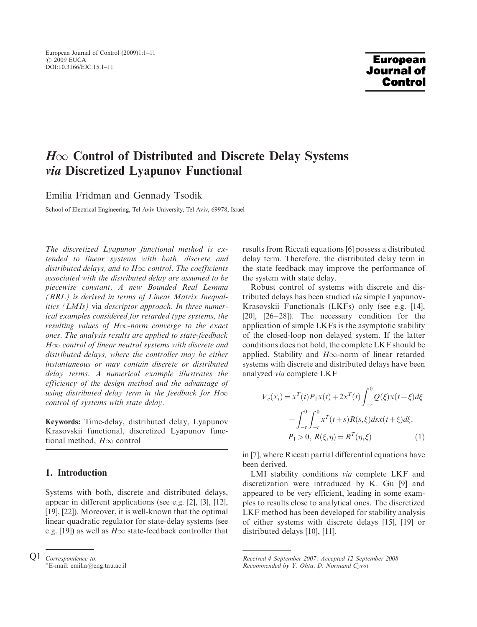# $H\infty$  Control of Distributed and Discrete Delay Systems via Discretized Lyapunov Functional

Emilia Fridman and Gennady Tsodik

 $S_{\rm c}$  of  $S_{\rm c}$   $S_{\rm c}$   $\sim$   $\frac{1}{2}$ 

The discretized Lyapunov functional method is extended to linear systems with both, discrete and distributed delays, and to  $H\infty$  control. The coefficients associated with the distributed delay are assumed to be piecewise constant. A new Bounded Real Lemma (BRL) is derived in terms of Linear Matrix Inequalities (LMIs) via descriptor approach. In three numerical examples considered for retarded type systems, the resulting values of  $H\infty$ -norm converge to the exact ones. The analysis results are applied to state-feedback  $H\infty$  control of linear neutral systems with discrete and distributed delays, where the controller may be either instantaneous or may contain discrete or distributed delay terms. A numerical example illustrates the efficiency of the design method and the advantage of using distributed delay term in the feedback for  $H\infty$ control of systems with state delay.

Keywords: Time-delay, distributed delay, Lyapunov Krasovskii functional, discretized Lyapunov functional method,  $H\infty$  control

## 1. Introduction

Systems with both, discrete and distributed delays, appear in different applications (see e.g. [2], [3], [12], [19], [22]). Moreover, it is well-known that the optimal linear quadratic regulator for state-delay systems (see e.g. [19]) as well as  $H\infty$  state-feedback controller that results from Riccati equations [6] possess a distributed delay term. Therefore, the distributed delay term in the state feedback may improve the performance of the system with state delay.

Robust control of systems with discrete and distributed delays has been studied via simple Lyapunov-Krasovskii Functionals (LKFs) only (see e.g. [14], [20], [26–28]). The necessary condition for the application of simple LKFs is the asymptotic stability of the closed-loop non delayed system. If the latter conditions does not hold, the complete LKF should be applied. Stability and  $H\infty$ -norm of linear retarded systems with discrete and distributed delays have been analyzed via complete LKF

$$
V_c(x_t) = x^T(t)P_1x(t) + 2x^T(t)\int_{-r}^0 Q(\xi)x(t+\xi)d\xi
$$
  
+ 
$$
\int_{-r}^0 \int_{-r}^0 x^T(t+s)R(s,\xi)dsx(t+\xi)d\xi,
$$
  

$$
P_1 > 0, R(\xi, \eta) = R^T(\eta, \xi)
$$
 (1)

in [7], where Riccati partial differential equations have been derived.

LMI stability conditions via complete LKF and discretization were introduced by K. Gu [9] and appeared to be very efficient, leading in some examples to results close to analytical ones. The discretized LKF method has been developed for stability analysis of either systems with discrete delays [15], [19] or distributed delays [10], [11].

 $Q1$  *Correspondence to:*<br><sup>\*</sup>E-mail: emilia@e: E-mail: emilia@eng.tau.ac.il

Received 4 September 2007; Accepted 12 September 2008 Recommended by Y. Ohta, D. Normand Cyrot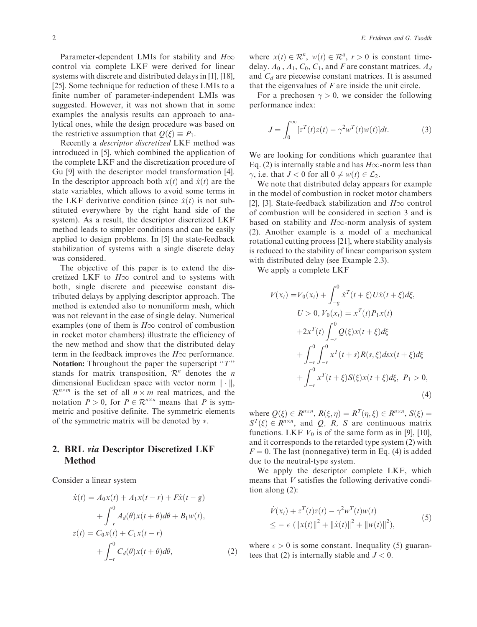Parameter-dependent LMIs for stability and  $H\infty$ control via complete LKF were derived for linear systems with discrete and distributed delays in [1], [18], [25]. Some technique for reduction of these LMIs to a finite number of parameter-independent LMIs was suggested. However, it was not shown that in some examples the analysis results can approach to analytical ones, while the design procedure was based on the restrictive assumption that  $Q(\xi) \equiv P_1$ .

Recently a descriptor discretized LKF method was introduced in [5], which combined the application of the complete LKF and the discretization procedure of Gu [9] with the descriptor model transformation [4]. In the descriptor approach both  $x(t)$  and  $\dot{x}(t)$  are the state variables, which allows to avoid some terms in the LKF derivative condition (since  $\dot{x}(t)$  is not substituted everywhere by the right hand side of the system). As a result, the descriptor discretized LKF method leads to simpler conditions and can be easily applied to design problems. In [5] the state-feedback stabilization of systems with a single discrete delay was considered.

The objective of this paper is to extend the discretized LKF to  $H\infty$  control and to systems with both, single discrete and piecewise constant distributed delays by applying descriptor approach. The method is extended also to nonuniform mesh, which was not relevant in the case of single delay. Numerical examples (one of them is  $H\infty$  control of combustion in rocket motor chambers) illustrate the efficiency of the new method and show that the distributed delay term in the feedback improves the  $H\infty$  performance. Notation: Throughout the paper the superscript " $T$ " stands for matrix transposition,  $\mathcal{R}^n$  denotes the *n* dimensional Euclidean space with vector norm  $\|\cdot\|$ ,  $\mathcal{R}^{n \times m}$  is the set of all  $n \times m$  real matrices, and the notation  $P > 0$ , for  $P \in \mathbb{R}^{n \times n}$  means that P is symmetric and positive definite. The symmetric elements of the symmetric matrix will be denoted by  $\ast$ .

## 2. BRL via Descriptor Discretized LKF Method

Consider a linear system

$$
\dot{x}(t) = A_0 x(t) + A_1 x(t-r) + F\dot{x}(t-g)
$$

$$
+ \int_{-r}^{0} A_d(\theta) x(t+\theta) d\theta + B_1 w(t),
$$

$$
z(t) = C_0 x(t) + C_1 x(t-r)
$$

$$
+ \int_{-r}^{0} C_d(\theta) x(t+\theta) d\theta,
$$
 (2)

where  $x(t) \in \mathbb{R}^n$ ,  $w(t) \in \mathbb{R}^q$ ,  $r > 0$  is constant time-<br>delay  $A_0$ ,  $A_1$ ,  $C_0$ ,  $C_1$  and *F* are constant matrices  $A_d$ delay.  $A_0$ ,  $A_1$ ,  $C_0$ ,  $C_1$ , and F are constant matrices.  $A_d$ and  $C_d$  are piecewise constant matrices. It is assumed that the eigenvalues of  $F$  are inside the unit circle.

For a prechosen  $\gamma > 0$ , we consider the following performance index:

$$
J = \int_0^\infty [z^T(t)z(t) - \gamma^2 w^T(t)w(t)]dt.
$$
 (3)

We are looking for conditions which guarantee that Eq. (2) is internally stable and has  $H\infty$ -norm less than  $\gamma$ , i.e. that  $J < 0$  for all  $0 \neq w(t) \in \mathcal{L}_2$ .

We note that distributed delay appears for example in the model of combustion in rocket motor chambers [2], [3]. State-feedback stabilization and  $H\infty$  control of combustion will be considered in section 3 and is based on stability and  $H\infty$ -norm analysis of system (2). Another example is a model of a mechanical rotational cutting process [21], where stability analysis is reduced to the stability of linear comparison system with distributed delay (see Example 2.3).

We apply a complete LKF

$$
V(x_t) = V_0(x_t) + \int_{-g}^{0} \dot{x}^T(t + \xi) U \dot{x}(t + \xi) d\xi,
$$
  
\n
$$
U > 0, V_0(x_t) = x^T(t) P_1 x(t)
$$
  
\n
$$
+ 2x^T(t) \int_{-r}^{0} Q(\xi) x(t + \xi) d\xi
$$
  
\n
$$
+ \int_{-r}^{0} \int_{-r}^{0} x^T(t + s) R(s, \xi) ds x(t + \xi) d\xi
$$
  
\n
$$
+ \int_{-r}^{0} x^T(t + \xi) S(\xi) x(t + \xi) d\xi, P_1 > 0,
$$
  
\n(4)

where  $Q(\xi) \in R^{n \times n}$ ,  $R(\xi, \eta) = R^T(\eta, \xi) \in R^{n \times n}$ ,  $S(\xi) =$  $S<sup>T</sup>(\xi) \in R^{n \times n}$ , and Q, R, S are continuous matrix functions. LKF  $V_0$  is of the same form as in [9], [10], and it corresponds to the retarded type system (2) with  $F = 0$ . The last (nonnegative) term in Eq. (4) is added due to the neutral-type system.

We apply the descriptor complete LKF, which means that V satisfies the following derivative condition along (2):

$$
\dot{V}(x_t) + z^T(t)z(t) - \gamma^2 w^T(t)w(t) \n\leq -\epsilon \left( ||x(t)||^2 + ||\dot{x}(t)||^2 + ||w(t)||^2 \right),
$$
\n(5)

where  $\epsilon > 0$  is some constant. Inequality (5) guarantees that (2) is internally stable and  $J < 0$ .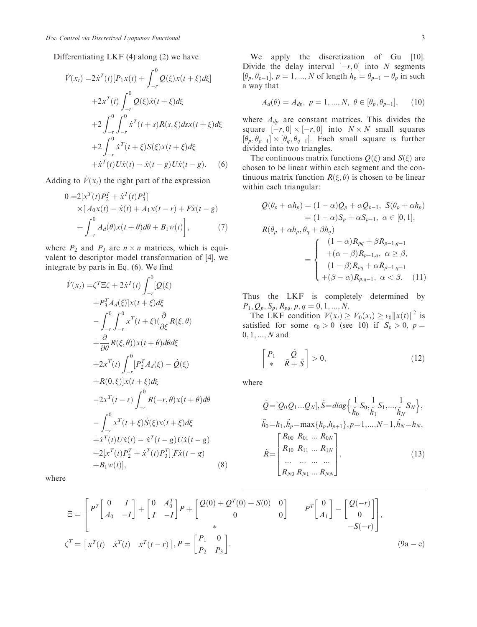Differentiating LKF (4) along (2) we have

$$
\dot{V}(x_t) = 2\dot{x}^{T}(t)[P_1x(t) + \int_{-r}^{0} Q(\xi)x(t+\xi)d\xi] \n+2x^{T}(t)\int_{-r}^{0} Q(\xi)\dot{x}(t+\xi)d\xi \n+2\int_{-r}^{0} \int_{-r}^{0} \dot{x}^{T}(t+s)R(s,\xi)dsx(t+\xi)d\xi \n+2\int_{-r}^{0} \dot{x}^{T}(t+\xi)S(\xi)x(t+\xi)d\xi \n+ \dot{x}^{T}(t)U\dot{x}(t) - \dot{x}(t-g)U\dot{x}(t-g).
$$
\n(6)

Adding to  $\dot{V}(x_t)$  the right part of the expression

$$
0 = 2[x^{T}(t)P_{2}^{T} + \dot{x}^{T}(t)P_{3}^{T}]
$$
  
×[ $A_{0}x(t) - \dot{x}(t) + A_{1}x(t - r) + F\dot{x}(t - g)$   
+  $\int_{-r}^{0} A_{d}(\theta)x(t + \theta)d\theta + B_{1}w(t)$ ], (7)

where  $P_2$  and  $P_3$  are  $n \times n$  matrices, which is equivalent to descriptor model transformation of [4], we integrate by parts in Eq. (6). We find

$$
\dot{V}(x_t) = \zeta^T \Xi \zeta + 2\dot{x}^T(t) \int_{-r}^0 [Q(\xi)
$$
  
+ $P_3^T A_d(\xi)]x(t + \xi) d\xi$   

$$
- \int_{-r}^0 \int_{-r}^0 x^T(t + \xi) (\frac{\partial}{\partial \xi} R(\xi, \theta))
$$
  
+ $\frac{\partial}{\partial \theta} R(\xi, \theta))x(t + \theta) d\theta d\xi$   
+ $2x^T(t) \int_{-r}^0 [P_2^T A_d(\xi) - \dot{Q}(\xi)$   
+ $R(0, \xi)]x(t + \xi) d\xi$   
 $-2x^T(t - r) \int_{-r}^0 R(-r, \theta)x(t + \theta) d\theta$   
 $- \int_{-r}^0 x^T(t + \xi) \dot{S}(\xi)x(t + \xi) d\xi$   
+ $\dot{x}^T(t) U\dot{x}(t) - \dot{x}^T(t - g) U\dot{x}(t - g)$   
+ $2[x^T(t) P_2^T + \dot{x}^T(t) P_3^T] [F\dot{x}(t - g)$   
+ $B_1 w(t)],$  (8)

where

We apply the discretization of Gu [10]. Divide the delay interval  $[-r, 0]$  into N segments<br> $[\theta_+,\theta_{-1}]$ ,  $p=1$ , N of length  $h_n = \theta_{n-1} - \theta_n$  in such  $[\theta_p, \theta_{p-1}], p = 1, ..., N$  of length  $h_p = \theta_{p-1} - \theta_p$  in such a way that a way that

$$
A_d(\theta) = A_{dp}, \ p = 1, ..., N, \ \theta \in [\theta_p, \theta_{p-1}], \tag{10}
$$

where  $A_{dp}$  are constant matrices. This divides the square  $[-r, 0] \times [-r, 0]$  into  $N \times N$  small squares<br> $[\theta_+, \theta_+] \times [\theta_-, \theta_+]$  Each small square is further  $[\theta_p, \theta_{p-1}] \times [\theta_q, \theta_{q-1}]$ . Each small square is further divided into two triangles divided into two triangles.

The continuous matrix functions  $Q(\xi)$  and  $S(\xi)$  are chosen to be linear within each segment and the continuous matrix function  $R(\xi, \theta)$  is chosen to be linear within each triangular:

$$
Q(\theta_p + \alpha h_p) = (1 - \alpha)Q_p + \alpha Q_{p-1}, S(\theta_p + \alpha h_p)
$$
  
\n
$$
= (1 - \alpha)S_p + \alpha S_{p-1}, \alpha \in [0, 1],
$$
  
\n
$$
R(\theta_p + \alpha h_p, \theta_q + \beta h_q)
$$
  
\n
$$
= \begin{cases} (1 - \alpha)R_{pq} + \beta R_{p-1,q-1} \\ +(\alpha - \beta)R_{p-1,q}, \alpha \ge \beta, \\ (1 - \beta)R_{pq} + \alpha R_{p-1,q-1} \\ +(\beta - \alpha)R_{p,q-1}, \alpha < \beta. \end{cases}
$$
(11)

Thus the LKF is completely determined by  $P_1, Q_p, S_p, R_{pq}, p, q = 0, 1, ..., N.$ 

The LKF condition  $V(x_t) \geq V_0(x_t) \geq \epsilon_0 ||x(t)||^2$  is satisfied for some  $\epsilon_0 > 0$  (see 10) if  $S_p > 0$ ,  $p =$  $0, 1, ..., N$  and

$$
\begin{bmatrix} P_1 & \tilde{Q} \\ * & \tilde{R} + \tilde{S} \end{bmatrix} > 0,\tag{12}
$$

where

$$
\tilde{Q} = [Q_0 Q_1 ... Q_N], \tilde{S} = diag\left\{\frac{1}{\tilde{h}_0} S_0, \frac{1}{\tilde{h}_1} S_1, ..., \frac{1}{\tilde{h}_N} S_N\right\},
$$

$$
\tilde{h}_0 = h_1, \tilde{h}_p = \max\{h_p, h_{p+1}\}, p = 1, ..., N - 1, \tilde{h}_N = h_N,
$$

$$
\tilde{R} = \begin{bmatrix} R_{00} & R_{01} & ... & R_{0N} \\ R_{10} & R_{11} & ... & R_{1N} \\ ... & ... & ... & ... \\ R_{N0} & R_{N1} & ... & R_{NN} \end{bmatrix}.
$$
(13)

$$
\Xi = \begin{bmatrix} P^T \begin{bmatrix} 0 & I \\ A_0 & -I \end{bmatrix} + \begin{bmatrix} 0 & A_0^T \\ I & -I \end{bmatrix} P + \begin{bmatrix} Q(0) + Q^T(0) + S(0) & 0 \\ 0 & 0 \end{bmatrix} & P^T \begin{bmatrix} 0 \\ A_1 \end{bmatrix} - \begin{bmatrix} Q(-r) \\ 0 \end{bmatrix} ,
$$
  

$$
\zeta^T = \begin{bmatrix} x^T(t) & \dot{x}^T(t) & x^T(t-r) \end{bmatrix}, P = \begin{bmatrix} P_1 & 0 \\ P_2 & P_3 \end{bmatrix}.
$$
 (9a - c)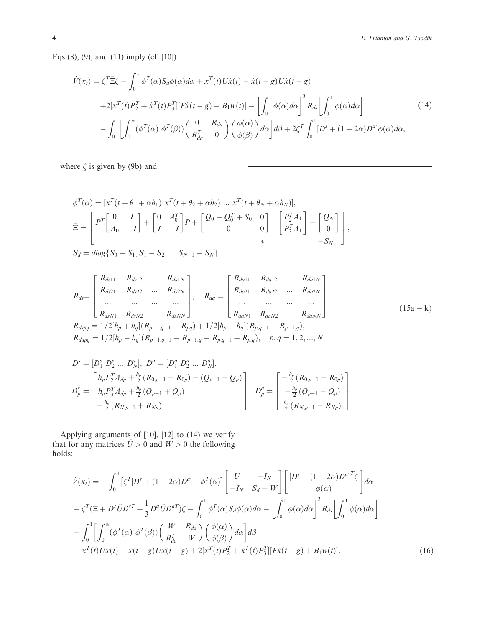Eqs (8), (9), and (11) imply (cf. [10])

$$
\dot{V}(x_t) = \zeta^T \bar{\Xi}\zeta - \int_0^1 \phi^T(\alpha) S_d \phi(\alpha) d\alpha + \dot{x}^T(t) U \dot{x}(t) - \dot{x}(t - g) U \dot{x}(t - g)
$$
  
+2[x<sup>T</sup>(t)P<sub>2</sub><sup>T</sup> + \dot{x}^T(t)P<sub>3</sub><sup>T</sup>][F \dot{x}(t - g) + B\_1 w(t)] -  $\left[\int_0^1 \phi(\alpha) d\alpha\right]^T R_{ds} \left[\int_0^1 \phi(\alpha) d\alpha\right]$   
- $\int_0^1 \left[\int_0^{\alpha} (\phi^T(\alpha) \phi^T(\beta)) \begin{pmatrix} 0 & R_{da} \\ R_{da}^T & 0 \end{pmatrix} \begin{pmatrix} \phi(\alpha) \\ \phi(\beta) \end{pmatrix} d\alpha\right] d\beta + 2\zeta^T \int_0^1 [D^s + (1 - 2\alpha)D^a] \phi(\alpha) d\alpha,$  (14)

where  $\zeta$  is given by (9b) and

$$
\phi^{T}(\alpha) = \left[x^{T}(t + \theta_{1} + \alpha h_{1}) \ x^{T}(t + \theta_{2} + \alpha h_{2}) \dots x^{T}(t + \theta_{N} + \alpha h_{N})\right],
$$
\n
$$
\bar{\Xi} = \begin{bmatrix} P^{T} \begin{bmatrix} 0 & I \\ A_{0} & -I \end{bmatrix} + \begin{bmatrix} 0 & A_{0}^{T} \\ I & -I \end{bmatrix} P + \begin{bmatrix} Q_{0} + Q_{0}^{T} + S_{0} & 0 \\ 0 & 0 \end{bmatrix} \begin{bmatrix} P_{2}^{T} A_{1} \\ P_{3}^{T} A_{1} \end{bmatrix} - \begin{bmatrix} Q_{N} \\ 0 \end{bmatrix},
$$
\n
$$
S_{d} = diag\{S_{0} - S_{1}, S_{1} - S_{2}, ..., S_{N-1} - S_{N}\}
$$

$$
R_{ds} = \begin{bmatrix} R_{ds11} & R_{ds12} & \dots & R_{ds1N} \\ R_{ds21} & R_{ds22} & \dots & R_{ds2N} \\ \dots & \dots & \dots & \dots \\ R_{dsN1} & R_{dsN2} & \dots & R_{dsNN} \end{bmatrix}, \quad R_{da} = \begin{bmatrix} R_{da11} & R_{da12} & \dots & R_{da1N} \\ R_{da21} & R_{da22} & \dots & R_{da2N} \\ \dots & \dots & \dots & \dots \\ R_{daN1} & R_{daN2} & \dots & R_{daNN} \end{bmatrix},
$$
  
\n
$$
R_{dspq} = 1/2[h_p + h_q](R_{p-1,q-1} - R_{pq}) + 1/2[h_p - h_q](R_{p,q-1} - R_{p-1,q}),
$$
  
\n
$$
R_{dapq} = 1/2[h_p - h_q](R_{p-1,q-1} - R_{p-1,q} - R_{p,q-1} + R_{p,q}), \quad p, q = 1, 2, ..., N,
$$
  
\n(15a - k)

$$
D^s = [D_1^s D_2^s ... D_N^s], D^a = [D_1^a D_2^a ... D_N^a],
$$
  
\n
$$
D_p^s = \begin{bmatrix} h_p P_2^T A_{dp} + \frac{h_p}{2} (R_{0,p-1} + R_{0p}) - (Q_{p-1} - Q_p) \\ h_p P_3^T A_{dp} + \frac{h_p}{2} (Q_{p-1} + Q_p) \\ -\frac{h_p}{2} (R_{N,p-1} + R_{Np}) \end{bmatrix}, D_p^a = \begin{bmatrix} -\frac{h_p}{2} (R_{0,p-1} - R_{0p}) \\ -\frac{h_p}{2} (Q_{p-1} - Q_p) \\ \frac{h_p}{2} (R_{N,p-1} - R_{Np}) \end{bmatrix}
$$

Applying arguments of [10], [12] to (14) we verify that for any matrices  $\tilde{U} > 0$  and  $W > 0$  the following holds:

$$
\dot{V}(x_t) = -\int_0^1 \left[\zeta^T[D^s + (1 - 2\alpha)D^a\right] \phi^T(\alpha)\right] \left[\begin{array}{cc}\n\tilde{U} & -I_N \\
-I_N & S_d - W\n\end{array}\right] \left[\begin{array}{cc}\n[D^s + (1 - 2\alpha)D^a]^T \zeta \\
\phi(\alpha)\n\end{array}\right] d\alpha
$$
\n
$$
+ \zeta^T(\bar{\Xi} + D^s \tilde{U}D^{sT} + \frac{1}{3}D^a \tilde{U}D^{aT})\zeta - \int_0^1 \phi^T(\alpha)S_d\phi(\alpha)d\alpha - \left[\int_0^1 \phi(\alpha)d\alpha\right]^T R_{ds} \left[\int_0^1 \phi(\alpha)d\alpha\right]
$$
\n
$$
- \int_0^1 \left[\int_0^{\alpha} (\phi^T(\alpha) \phi^T(\beta)) \begin{pmatrix} W & R_{da} \\
R_{da}^T & W \end{pmatrix} \begin{pmatrix} \phi(\alpha) \\
\phi(\beta) \end{pmatrix} d\beta
$$
\n
$$
+ \dot{x}^T(t)U\dot{x}(t) - \dot{x}(t - g)U\dot{x}(t - g) + 2[x^T(t)P_2^T + \dot{x}^T(t)P_3^T][F\dot{x}(t - g) + B_1w(t)].
$$
\n(16)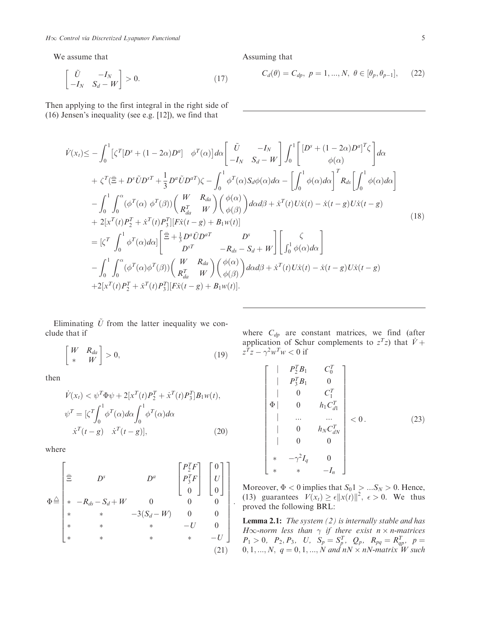We assume that

$$
\begin{bmatrix} \tilde{U} & -I_N \\ -I_N & S_d - W \end{bmatrix} > 0.
$$
 (17)

Then applying to the first integral in the right side of (16) Jensen's inequality (see e.g. [12]), we find that

$$
\dot{V}(x_t) \leq -\int_0^1 \left[\zeta^T[D^s + (1 - 2\alpha)D^a\right] \phi^T(\alpha)\right] d\alpha \left[\begin{aligned}\n\tilde{U} & -I_N \\
-I_N & S_d - W\n\end{aligned}\right] \int_0^1 \left[\begin{aligned}\n[D^s + (1 - 2\alpha)D^a]^T \zeta \\
\phi(\alpha)\n\end{aligned}\right] d\alpha \\
+ \zeta^T(\bar{\Xi} + D^s \tilde{U}D^{sT} + \frac{1}{3}D^a \tilde{U}D^{aT})\zeta - \int_0^1 \phi^T(\alpha)S_d\phi(\alpha)d\alpha - \left[\int_0^1 \phi(\alpha)d\alpha\right]^T R_{ds} \left[\int_0^1 \phi(\alpha)d\alpha\right] \\
- \int_0^1 \int_0^\alpha (\phi^T(\alpha) \phi^T(\beta)) \begin{pmatrix} W & R_{da} \\ R_{da}^T & W \end{pmatrix} \begin{pmatrix} \phi(\alpha) \\ \phi(\beta) \end{pmatrix} d\alpha d\beta + \dot{x}^T(t)U\dot{x}(t) - \dot{x}(t - g)U\dot{x}(t - g) \\
+ 2[x^T(t)P_2^T + \dot{x}^T(t)P_3^T][F\dot{x}(t - g) + B_1w(t)] \\
= [\zeta^T \int_0^1 \phi^T(\alpha)d\alpha] \begin{bmatrix} \bar{\Xi} + \frac{1}{3}D^a\tilde{U}D^{aT} & D^s \\
D^{sT} & -R_{ds} - S_d + W \end{bmatrix} \begin{bmatrix} \zeta \\ \int_0^1 \phi(\alpha)d\alpha \end{bmatrix} \\
- \int_0^1 \int_0^\alpha (\phi^T(\alpha)\phi^T(\beta)) \begin{pmatrix} W & R_{da} \\ R_{da}^T & W \end{pmatrix} \begin{pmatrix} \phi(\alpha) \\ \phi(\beta) \end{pmatrix} d\alpha d\beta + \dot{x}^T(t)U\dot{x}(t) - \dot{x}(t - g)U\dot{x}(t - g) \\
+ 2[x^T(t)P_2^T + \dot{x}^T(t)P_3^T][F\dot{x}(t - g) + B_1w(t)].\n\tag{18}
$$

Eliminating  $\tilde{U}$  from the latter inequality we conclude that if

$$
\begin{bmatrix} W & R_{da} \\ * & W \end{bmatrix} > 0,\tag{19}
$$

then

$$
\dot{V}(x_t) < \psi^T \Phi \psi + 2[x^T(t)P_2^T + \dot{x}^T(t)P_3^T]B_1 w(t),
$$
\n
$$
\psi^T = \left[\zeta^T \int_0^1 \phi^T(\alpha) d\alpha \int_0^1 \phi^T(\alpha) d\alpha \right]
$$
\n
$$
\dot{x}^T(t-g) \dot{x}^T(t-g), \qquad (20)
$$

where

$$
\Phi \stackrel{\triangle}{=} \begin{bmatrix} \bar{\Xi} & D^s & D^a & \begin{bmatrix} P_2^T F \\ P_3^T F \\ 0 \end{bmatrix} & \begin{bmatrix} 0 \\ U \\ 0 \end{bmatrix} \\ * & * & -3(S_d - W) & 0 & 0 \\ * & * & -U & 0 \\ * & * & * & -U & 0 \\ * & * & * & * & -U \end{bmatrix} .
$$
\n(21)

where  $C_{dp}$  are constant matrices, we find (after application of Schur complements to  $z^T z$ ) that  $\dot{V} + z^T z - \gamma^2 w^T w < 0$  if  $z^T z - \gamma^2 w^T w < 0$  if

$$
\begin{bmatrix}\n & P_2^T B_1 & C_0^T \\
 & P_3^T B_1 & 0 \\
 & & 0 & C_1^T \\
\Phi & 0 & h_1 C_{d1}^T \\
 & & \dots & \dots \\
 & & 0 & h_N C_{dN}^T \\
 & & 0 & 0 \\
 & & & -\gamma^2 I_q & 0 \\
 & & & & & -I_n\n\end{bmatrix} < 0.
$$
 (23)

Moreover,  $\Phi < 0$  implies that  $S_0 \mathbb{1} > ... S_N > 0$ . Hence, (13) guarantees  $V(x_t) \ge \epsilon ||x(t)||^2$ ,  $\epsilon > 0$ . We thus proved the following BRL:

**Lemma 2.1:** The system  $(2)$  is internally stable and has  $H\infty$ -norm less than  $\gamma$  if there exist  $n \times n$ -matrices<br> $P_1 \sim 0$ ,  $P_2 \sim P_3$ ,  $H_1 \propto -S^T$ ,  $Q_1 \sim R_1 \sim R^T$ ,  $n =$  $P_1 > 0, P_2, P_3, U, S_p = S_f^T, Q_p, R_{pq} = R_{qp}^T, p = 0, 1, N, q = 0, 1, N, and nN \times nN, matrix W, such$  $0, 1, ..., N, q = 0, 1, ..., N$  and  $nN \times nN$ -matrix W such

Assuming that

$$
C_d(\theta) = C_{dp}, \ p = 1, ..., N, \ \theta \in [\theta_p, \theta_{p-1}], \tag{22}
$$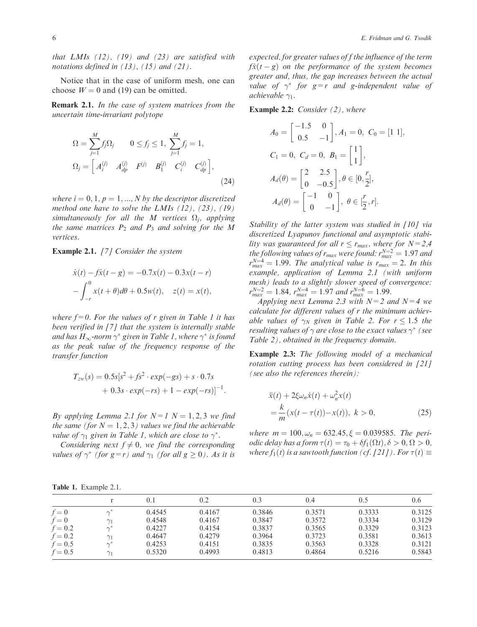that LMIs  $(12)$ ,  $(19)$  and  $(23)$  are satisfied with notations defined in  $(13)$ ,  $(15)$  and  $(21)$ .

Notice that in the case of uniform mesh, one can choose  $W = 0$  and (19) can be omitted.

Remark 2.1. In the case of system matrices from the uncertain time-invariant polytope

$$
\Omega = \sum_{j=1}^{M} f_j \Omega_j \qquad 0 \le f_j \le 1, \sum_{j=1}^{M} f_j = 1,
$$
  
\n
$$
\Omega_j = \begin{bmatrix} A_i^{(j)} & A_{dp}^{(j)} & F^{(j)} & B_1^{(j)} & C_i^{(j)} & C_{dp}^{(j)} \end{bmatrix},\tag{24}
$$

where  $i = 0, 1, p = 1, ..., N$  by the descriptor discretized method one have to solve the LMIs  $(12)$ ,  $(23)$ ,  $(19)$ simultaneously for all the M vertices  $\Omega_i$ , applying the same matrices  $P_2$  and  $P_3$  and solving for the M vertices.

Example 2.1. [7] Consider the system

$$
\dot{x}(t) - f\dot{x}(t - g) = -0.7x(t) - 0.3x(t - r)
$$

$$
- \int_{-r}^{0} x(t + \theta) d\theta + 0.5w(t), \quad z(t) = x(t),
$$

where  $f=0$ . For the values of r given in Table 1 it has been verified in [7] that the system is internally stable and has  $H_{\infty}$ -norm  $\gamma^*$  given in Table 1, where  $\gamma^*$  is found as the peak value of the frequency response of the transfer function

$$
T_{zw}(s) = 0.5s[s^{2} + fs^{2} \cdot exp(-gs) + s \cdot 0.7s + 0.3s \cdot exp(-rs) + 1 - exp(-rs)]^{-1}.
$$

By applying Lemma 2.1 for  $N=1$   $N=1, 2, 3$  we find the same (for  $N = 1, 2, 3$ ) values we find the achievable value of  $\gamma_1$  given in Table 1, which are close to  $\gamma^*$ .

Considering next  $f \neq 0$ , we find the corresponding values of  $\gamma^*$  (for  $g=r$ ) and  $\gamma_1$  (for all  $g \ge 0$ ). As it is expected, for greater values of f the influence of the term  $f\ddot{x}(t-g)$  on the performance of the system becomes<br>greater and thus the gan-increases between the actual greater and, thus, the gap increases between the actual value of  $\gamma^*$  for  $g=r$  and g-independent value of achievable  $\gamma_1$ .

Example 2.2: *Consider* (2), where

$$
A_0 = \begin{bmatrix} -1.5 & 0 \\ 0.5 & -1 \end{bmatrix}, A_1 = 0, C_0 = [1 \ 1],
$$
  
\n
$$
C_1 = 0, C_d = 0, B_1 = \begin{bmatrix} 1 \\ 1 \end{bmatrix},
$$
  
\n
$$
A_d(\theta) = \begin{bmatrix} 2 & 2.5 \\ 0 & -0.5 \end{bmatrix}, \theta \in [0, \frac{r}{2}],
$$
  
\n
$$
A_d(\theta) = \begin{bmatrix} -1 & 0 \\ 0 & -1 \end{bmatrix}, \theta \in [\frac{r}{2}, r].
$$

Stability of the latter system was studied in [10] via discretized Lyapunov functional and asymptotic stability was guaranteed for all  $r \le r_{max}$ , where for  $N=2,4$ <br>the following values of r<sub>man</sub> were found:  $r^{N=2} = 1.97$  and the following values of  $r_{max}$  were found:  $r_{max}^{N=2} = 1.97$  and  $r^{N=4} = 1.99$ . The analytical value is  $r_{max} = 2$ . In this  $r_{max}^{N=4} = 1.99$ . The analytical value is  $r_{max} = 2$ . In this example, application of Lemma 2.1 (with uniform mesh) leads to a slightly slower speed of convergence:  $r_{max}^{N=2} = 1.84$ ,  $r_{max}^{N=4} = 1.97$  and  $r_{max}^{N=6} = 1.99$ .

Applying next Lemma 2.3 with  $N=2$  and  $N=4$  we calculate for different values of r the minimum achievable values of  $\gamma_N$  given in Table 2. For  $r \leq 1.5$  the resulting values of  $\gamma$  are close to the exact values  $\gamma^*$  (see Table 2), obtained in the frequency domain.

Example 2.3: The following model of a mechanical rotation cutting process has been considered in [21] (see also the references therein):

$$
\ddot{x}(t) + 2\xi\omega_n \dot{x}(t) + \omega_n^2 x(t) \n= \frac{k}{m} (x(t - \tau(t)) - x(t)), \ k > 0,
$$
\n(25)

where  $m = 100, \omega_n = 632.45, \xi = 0.039585$ . The peri*odic delay has a form*  $\tau(t) = \tau_0 + \delta f_1(\Omega t), \delta > 0, \Omega > 0$ , where  $f_1(t)$  is a sawtooth function (cf. [21]). For  $\tau(t) \equiv$ 

|  |  | Table 1. Example 2.1. |  |
|--|--|-----------------------|--|
|--|--|-----------------------|--|

|           |            |        | 0.2    | 0.3    | 0.4    | 0.5    | 0.6    |
|-----------|------------|--------|--------|--------|--------|--------|--------|
| $f=0$     |            | 0.4545 | 0.4167 | 0.3846 | 0.3571 | 0.3333 | 0.3125 |
| $f=0$     | $\gamma_1$ | 0.4548 | 0.4167 | 0.3847 | 0.3572 | 0.3334 | 0.3129 |
| $f = 0.2$ |            | 0.4227 | 0.4154 | 0.3837 | 0.3565 | 0.3329 | 0.3123 |
| $f = 0.2$ | $\gamma_1$ | 0.4647 | 0.4279 | 0.3964 | 0.3723 | 0.3581 | 0.3613 |
| $f = 0.5$ |            | 0.4253 | 0.4151 | 0.3835 | 0.3563 | 0.3328 | 0.3121 |
| $f = 0.5$ | $\gamma_1$ | 0.5320 | 0.4993 | 0.4813 | 0.4864 | 0.5216 | 0.5843 |
|           |            |        |        |        |        |        |        |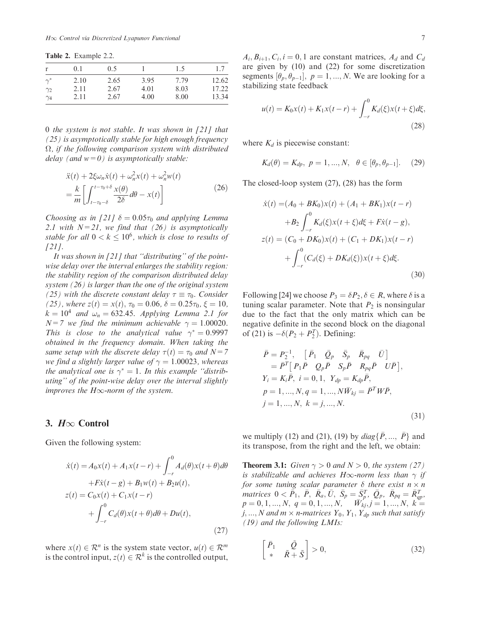Table 2. Example 2.2.

|            | 0.1  | 0.5  |      | 1.5  | 1.7   |
|------------|------|------|------|------|-------|
| $\gamma^*$ | 2.10 | 2.65 | 3.95 | 7.79 | 12.62 |
| $\gamma_2$ | 2.11 | 2.67 | 4.01 | 8.03 | 17.22 |
| $\gamma_4$ | 2.11 | 2.67 | 4.00 | 8.00 | 13.34 |

0 the system is not stable. It was shown in [21] that (25) is asymptotically stable for high enough frequency  $\Omega$ , if the following comparison system with distributed delay (and  $w=0$ ) is asymptotically stable:

$$
\ddot{x}(t) + 2\xi\omega_n \dot{x}(t) + \omega_n^2 x(t) + \omega_n^2 w(t)
$$
\n
$$
= \frac{k}{m} \left[ \int_{t-\tau_0-\delta}^{t-\tau_0+\delta} \frac{x(\theta)}{2\delta} d\theta - x(t) \right]
$$
\n(26)

Choosing as in [21]  $\delta = 0.05\tau_0$  and applying Lemma 2.1 with  $N=21$ , we find that (26) is asymptotically stable for all  $0 < k \leq 10^6$ , which is close to results of [21].

It was shown in  $[21]$  that "distributing" of the pointwise delay over the interval enlarges the stability region: the stability region of the comparison distributed delay system (26) is larger than the one of the original system (25) with the discrete constant delay  $\tau \equiv \tau_0$ . Consider (25), where  $z(t) = x(t)$ ,  $\tau_0 = 0.06$ ,  $\delta = 0.25\tau_0$ ,  $\xi = 10$ ,  $k = 10<sup>4</sup>$  and  $\omega_n = 632.45$ . Applying Lemma 2.1 for  $N=7$  we find the minimum achievable  $\gamma = 1.00020$ . This is close to the analytical value  $\gamma^* = 0.9997$ obtained in the frequency domain. When taking the same setup with the discrete delay  $\tau(t)=\tau_0$  and  $N=7$ we find a slightly larger value of  $\gamma = 1.00023$ , whereas the analytical one is  $\gamma^* = 1$ . In this example "distributing'' of the point-wise delay over the interval slightly improves the H $\infty$ -norm of the system.

#### 3.  $H\infty$  Control

Given the following system:

$$
\dot{x}(t) = A_0 x(t) + A_1 x(t - r) + \int_{-r}^{0} A_d(\theta) x(t + \theta) d\theta \n+ F\dot{x}(t - g) + B_1 w(t) + B_2 u(t), \nz(t) = C_0 x(t) + C_1 x(t - r) \n+ \int_{-r}^{0} C_d(\theta) x(t + \theta) d\theta + Du(t),
$$
\n(27)

where  $x(t) \in \mathcal{R}^n$  is the system state vector,  $u(t) \in \mathcal{R}^m$ is the control input,  $z(t) \in \mathcal{R}^k$  is the controlled output,  $A_i, B_{i+1}, C_i, i = 0, 1$  are constant matrices,  $A_d$  and  $C_d$ are given by (10) and (22) for some discretization segments  $[\theta_p, \theta_{p-1}], p = 1, ..., N$ . We are looking for a stabilizing state feedback stabilizing state feedback

$$
u(t) = K_0 x(t) + K_1 x(t - r) + \int_{-r}^{0} K_d(\xi) x(t + \xi) d\xi,
$$
\n(28)

where  $K_d$  is piecewise constant:

$$
K_d(\theta) = K_{dp}, \ p = 1, ..., N, \ \theta \in [\theta_p, \theta_{p-1}].
$$
 (29)

The closed-loop system (27), (28) has the form

$$
\dot{x}(t) = (A_0 + BK_0)x(t) + (A_1 + BK_1)x(t - r)
$$
  
+
$$
B_2 \int_{-r}^{0} K_d(\xi)x(t + \xi)d\xi + F\dot{x}(t - g),
$$
  

$$
z(t) = (C_0 + DK_0)x(t) + (C_1 + DK_1)x(t - r)
$$
  
+
$$
\int_{-r}^{0} (C_d(\xi) + DK_d(\xi))x(t + \xi)d\xi.
$$
(30)

Following [24] we choose  $P_3 = \delta P_2, \delta \in R$ , where  $\delta$  is a tuning scalar parameter. Note that  $P_2$  is nonsingular due to the fact that the only matrix which can be negative definite in the second block on the diagonal of (21) is  $-\delta(P_2 + P_2^T)$ . Defining:

$$
\bar{P} = P_2^{-1}, \quad [\bar{P}_1 \quad \bar{Q}_p \quad \bar{S}_p \quad \bar{R}_{pq} \quad \bar{U}] \n= \bar{P}^T [P_1 \bar{P} \quad Q_p \bar{P} \quad S_p \bar{P} \quad R_{pq} \bar{P} \quad U \bar{P}], \nY_i = K_i \bar{P}, \quad i = 0, 1, \quad Y_{dp} = K_{dp} \bar{P}, \np = 1, ..., N, q = 1, ..., N \bar{W}_{kj} = \bar{P}^T W \bar{P}, \nj = 1, ..., N, \quad k = j, ..., N.
$$
\n(31)

we multiply (12) and (21), (19) by  $diag\{\bar{P}, ..., \bar{P}\}\$  and its transpose, from the right and the left, we obtain:

**Theorem 3.1:** Given  $\gamma > 0$  and  $N > 0$ , the system (27) is stabilizable and achieves H $\infty$ -norm less than  $\gamma$  if for some tuning scalar parameter  $\delta$  there exist  $n \times n$ matrices  $0 < \bar{P}_1$ ,  $\bar{P}$ ,  $\bar{R}_a$ ,  $\bar{U}$ ,  $\bar{S}_p = \bar{S}_p^T$ ,  $\bar{Q}_p$ ,  $\bar{R}_{pq} = \bar{R}_{qp}^T$ ,  $n = 0, 1, N, q = 0, 1, N, \bar{W}_t$ ,  $i = 1, N, k = 1, N$  $p = 0, 1, ..., N, q = 0, 1, ..., N, \quad \bar{W}_{kj}, j = 1, ..., N, k =$ j, ..., N and  $m \times n$ -matrices  $Y_0$ ,  $Y_1$ ,  $Y_{dp}$  such that satisfy (19) and the following LMIs:

$$
\begin{bmatrix} \bar{P}_1 & \tilde{Q} \\ * & \tilde{R} + \tilde{S} \end{bmatrix} > 0,\tag{32}
$$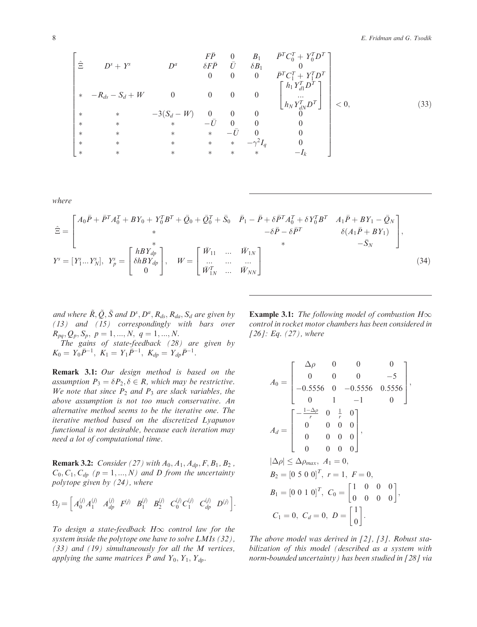$$
\begin{bmatrix}\n\hat{\Xi} & D^s + Y^s & D^a & \delta F \bar{P} & 0 & B_1 & \bar{P}^T C_0^T + Y_0^T D^T \\
0 & 0 & 0 & 0 & \bar{P}^T C_1^T + Y_1^T D^T \\
\ast & -R_{ds} - S_d + W & 0 & 0 & 0 & 0 \\
\ast & \ast & -3(S_d - W) & 0 & 0 & 0 & 0 \\
\ast & \ast & \ast & -\bar{U} & 0 & 0 & 0 \\
\ast & \ast & \ast & \ast & -\bar{U} & 0 & 0 \\
\ast & \ast & \ast & \ast & \ast & -\bar{U} & 0 & 0 \\
\ast & \ast & \ast & \ast & \ast & \ast & -\gamma^2 I_q & 0 \\
\ast & \ast & \ast & \ast & \ast & \ast & \ast & -I_k\n\end{bmatrix} < 0,
$$
\n(33)

where

$$
\hat{\Xi} = \begin{bmatrix} A_0 \bar{P} + \bar{P}^T A_0^T + B Y_0 + Y_0^T B^T + \bar{Q}_0 + \bar{Q}_0^T + \bar{S}_0 & \bar{P}_1 - \bar{P} + \delta \bar{P}^T A_0^T + \delta Y_0^T B^T & A_1 \bar{P} + B Y_1 - \bar{Q}_N \\ * & -\delta \bar{P} - \delta \bar{P}^T & \delta (A_1 \bar{P} + B Y_1) \\ * & -\bar{S}_N \end{bmatrix},
$$
  
\n
$$
Y^s = [Y^s_1 ... Y^s_N], \ Y^s_p = \begin{bmatrix} h B Y_{dp} \\ \delta h B Y_{dp} \\ 0 \end{bmatrix}, \qquad W = \begin{bmatrix} \bar{W}_{11} & ... & \bar{W}_{1N} \\ ... & ... & ... \\ \bar{W}_{1N}^T & ... & \bar{W}_{NN} \end{bmatrix}
$$
\n(34)

and where  $\tilde{R}, \tilde{Q}, \tilde{S}$  and  $D^s, D^a, R_{ds}, R_{da}, S_d$  are given by (13) and (15) correspondingly with bars over  $R_{pq}, Q_p, S_p, p = 1, ..., N, q = 1, ..., N.$ 

The gains of state-feedback (28) are given by  $K_0 = Y_0 \bar{P}^{-1}, K_1 = Y_1 \bar{P}^{-1}, K_{dp} = Y_{dp} \bar{P}^{-1}.$ 

Remark 3.1: Our design method is based on the assumption  $P_3 = \delta P_2, \delta \in R$ , which may be restrictive. We note that since  $P_2$  and  $P_3$  are slack variables, the above assumption is not too much conservative. An alternative method seems to be the iterative one. The iterative method based on the discretized Lyapunov functional is not desirable, because each iteration may need a lot of computational time.

**Remark 3.2:** Consider (27) with  $A_0, A_1, A_{dp}, F, B_1, B_2$ ,  $C_0, C_1, C_{dp}$  ( $p = 1, ..., N$ ) and D from the uncertainty polytope given by (24), where

$$
\Omega_j = \begin{bmatrix} A_0^{(j)} A_1^{(j)} & A_{dp}^{(j)} & B_1^{(j)} & B_2^{(j)} & C_0^{(j)} C_1^{(j)} & C_{dp}^{(j)} & D^{(j)} \end{bmatrix}.
$$

To design a state-feedback  $H\infty$  control law for the system inside the polytope one have to solve LMIs (32), (33) and (19) simultaneously for all the M vertices, applying the same matrices  $\bar{P}$  and  $Y_0$ ,  $Y_1$ ,  $Y_{dp}$ .

**Example 3.1:** The following model of combustion  $H\infty$ control in rocket motor chambers has been considered in [26]: Eq.  $(27)$ , where

$$
A_0 = \begin{bmatrix} \Delta \rho & 0 & 0 & 0 \\ 0 & 0 & 0 & -5 \\ -0.5556 & 0 & -0.5556 & 0.5556 \\ 0 & 1 & -1 & 0 \end{bmatrix},
$$
  
\n
$$
A_d = \begin{bmatrix} -\frac{1-\Delta \rho}{r} & 0 & \frac{1}{r} & 0 \\ 0 & 0 & 0 & 0 \\ 0 & 0 & 0 & 0 \\ 0 & 0 & 0 & 0 \end{bmatrix},
$$
  
\n
$$
|\Delta \rho| \leq \Delta \rho_{max}, A_1 = 0,
$$
  
\n
$$
B_2 = [0 \ 5 \ 0 \ 0]^T, r = 1, F = 0,
$$
  
\n
$$
B_1 = [0 \ 0 \ 1 \ 0]^T, C_0 = \begin{bmatrix} 1 & 0 & 0 & 0 \\ 0 & 0 & 0 & 0 \end{bmatrix},
$$
  
\n
$$
C_1 = 0, C_d = 0, D = \begin{bmatrix} 1 \\ 0 \end{bmatrix}.
$$

The above model was derived in  $[2]$ ,  $[3]$ . Robust stabilization of this model (described as a system with norm-bounded uncertainty) has been studied in [28] via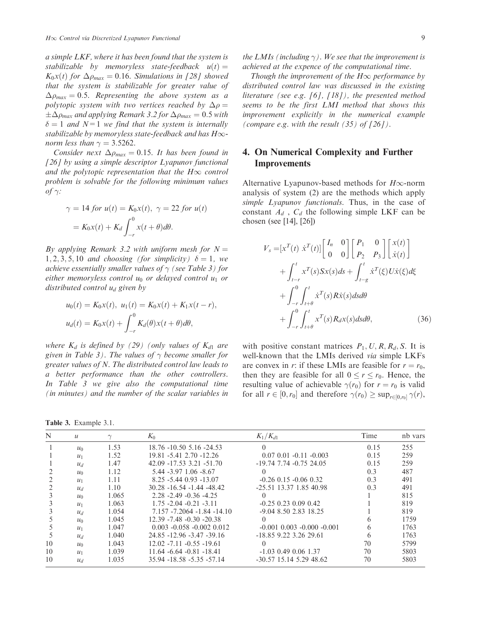a simple LKF, where it has been found that the system is stabilizable by memoryless state-feedback  $u(t) =$  $K_0x(t)$  for  $\Delta\rho_{max} = 0.16$ . Simulations in [28] showed that the system is stabilizable for greater value of  $\Delta \rho_{max} = 0.5$ . Representing the above system as a polytopic system with two vertices reached by  $\Delta \rho =$  $\delta = 1$  and  $N=1$  we find that the system is internally<br>stabilizable by memoryless state-feedback and has H $\infty$ - $\pm \Delta \rho_{max}$  and applying Remark 3.2 for  $\Delta \rho_{max} = 0.5$  with stabilizable by memoryless state-feedback and has  $H\infty$ norm less than  $\gamma = 3.5262$ .

Consider next  $\Delta \rho_{max} = 0.15$ . It has been found in [26] by using a simple descriptor Lyapunov functional and the polytopic representation that the  $H\infty$  control problem is solvable for the following minimum values of  $\gamma$ :

$$
\gamma = 14 \text{ for } u(t) = K_0 x(t), \ \gamma = 22 \text{ for } u(t)
$$

$$
= K_0 x(t) + K_d \int_{-r}^{0} x(t + \theta) d\theta.
$$

By applying Remark 3.2 with uniform mesh for  $N =$ 1, 2, 3, 5, 10 and choosing (for simplicity)  $\delta = 1$ , we achieve essentially smaller values of  $\gamma$  (see Table 3) for either memoryless control  $u_0$  or delayed control  $u_1$  or distributed control  $u_d$  given by

$$
u_0(t) = K_0 x(t), \ u_1(t) = K_0 x(t) + K_1 x(t - r),
$$
  

$$
u_d(t) = K_0 x(t) + \int_{-r}^{0} K_d(\theta) x(t + \theta) d\theta,
$$

where  $K_d$  is defined by (29) (only values of  $K_{d1}$  are given in Table 3). The values of  $\gamma$  become smaller for greater values of N. The distributed control law leads to a better performance than the other controllers. In Table 3 we give also the computational time (in minutes) and the number of the scalar variables in

Table 3. Example 3.1.

the LMIs (including  $\gamma$ ). We see that the improvement is achieved at the expence of the computational time.

Though the improvement of the  $H\infty$  performance by distributed control law was discussed in the existing literature (see e.g.  $[6]$ ,  $[18]$ ), the presented method seems to be the first LMI method that shows this improvement explicitly in the numerical example (compare e.g. with the result  $(35)$  of  $[26]$ ).

## 4. On Numerical Complexity and Further Improvements

Alternative Lyapunov-based methods for  $H\infty$ -norm analysis of system (2) are the methods which apply simple Lyapunov functionals. Thus, in the case of constant  $A_d$ ,  $C_d$  the following simple LKF can be chosen (see [14], [26])

$$
V_s = [x^T(t) \dot{x}^T(t)] \begin{bmatrix} I_n & 0 \\ 0 & 0 \end{bmatrix} \begin{bmatrix} P_1 & 0 \\ P_2 & P_3 \end{bmatrix} \begin{bmatrix} x(t) \\ \dot{x}(t) \end{bmatrix}
$$
  
+ 
$$
\int_{t-r}^t x^T(s) Sx(s) ds + \int_{t-g}^t \dot{x}^T(\xi) U\dot{x}(\xi) d\xi
$$
  
+ 
$$
\int_{-r}^0 \int_{t+\theta}^t \dot{x}^T(s) R\dot{x}(s) ds d\theta
$$
  
+ 
$$
\int_{-r}^0 \int_{t+\theta}^t x^T(s) R_dx(s) ds d\theta,
$$
 (36)

with positive constant matrices  $P_1$ , U, R, R<sub>d</sub>, S. It is well-known that the LMIs derived via simple LKFs are convex in r: if these LMIs are feasible for  $r = r_0$ , then they are feasible for all  $0 \le r \le r_0$ . Hence, the resulting value of achievable  $\gamma(r_0)$  for  $r = r_0$  is valid for all  $r \in [0,r_0]$  and therefore  $\gamma(r_0) \geq \sup_{r \in [0,r_0]} \gamma(r)$ ,

| N  | $\mathcal{U}$   | $\gamma$ | $K_0$                           | $K_1/K_{d1}$                       | Time | nb vars |
|----|-----------------|----------|---------------------------------|------------------------------------|------|---------|
|    | $u_0$           | 1.53     | 18.76 -10.50 5.16 -24.53        |                                    | 0.15 | 255     |
|    | $u_1$           | 1.52     | 19.81 -5.41 2.70 -12.26         | $0.07$ $0.01$ $-0.11$ $-0.003$     | 0.15 | 259     |
|    | $u_d$           | 1.47     | 42.09 -17.53 3.21 -51.70        | $-19.74$ 7.74 $-0.75$ 24.05        | 0.15 | 259     |
|    | $u_0$           | 1.12     | 5.44 -3.97 1.06 -8.67           |                                    | 0.3  | 487     |
|    | $u_1$           | 1.11     | 8.25 -5.44 0.93 -13.07          | $-0.26$ 0.15 $-0.06$ 0.32          | 0.3  | 491     |
|    | $u_d$           | 1.10     | $30.28 - 16.54 - 1.44 - 48.42$  | $-25.51$ 13.37 1.85 40.98          | 0.3  | 491     |
|    | $u_0$           | 1.065    | $2.28 - 2.49 - 0.36 - 4.25$     |                                    |      | 815     |
|    | $u_1$           | 1.063    | $1.75 - 2.04 - 0.21 - 3.11$     | $-0.25$ 0.23 0.09 0.42             |      | 819     |
|    | $u_d$           | 1.054    | $7.157 - 7.2064 - 1.84 - 14.10$ | $-9.04$ 8.50 2.83 18.25            |      | 819     |
|    | $u_0$           | 1.045    | 12.39 -7.48 -0.30 -20.38        |                                    | h    | 1759    |
|    | $u_1$           | 1.047    | $0.003 - 0.058 - 0.002 0.012$   | $-0.001$ $0.003$ $-0.000$ $-0.001$ | 6    | 1763    |
|    | $\mathcal{U}_d$ | 1.040    | 24.85 -12.96 -3.47 -39.16       | $-18.85$ 9.22 3.26 29.61           | 6    | 1763    |
| 10 | $u_0$           | 1.043    | $12.02 - 7.11 - 0.55 - 19.61$   |                                    | 70   | 5799    |
| 10 | $u_1$           | 1.039    | $11.64 - 6.64 - 0.81 - 18.41$   | $-1.03$ 0.49 0.06 1.37             | 70   | 5803    |
| 10 | $u_d$           | 1.035    | 35.94 -18.58 -5.35 -57.14       | $-30.57$ 15.14 5.29 48.62          | 70   | 5803    |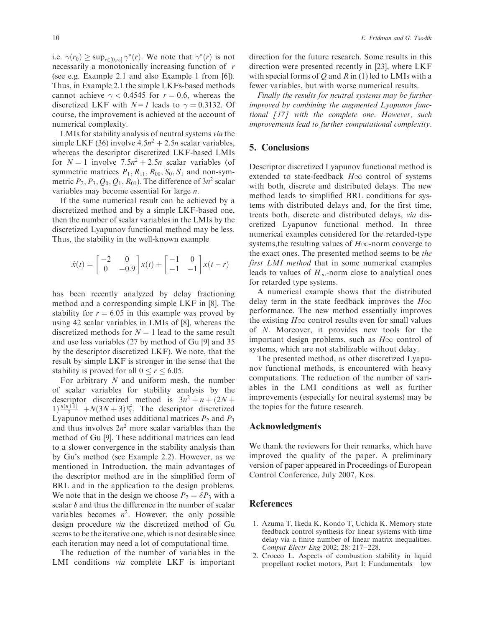i.e.  $\gamma(r_0) \ge \sup_{r \in [0,r_0]} \gamma^*(r)$ . We note that  $\gamma^*(r)$  is not necessarily a monotonically increasing function of r (see e.g. Example 2.1 and also Example 1 from [6]). Thus, in Example 2.1 the simple LKFs-based methods cannot achieve  $\gamma$  < 0.4545 for  $r = 0.6$ , whereas the discretized LKF with  $N=1$  leads to  $\gamma = 0.3132$ . Of course, the improvement is achieved at the account of numerical complexity.

LMIs for stability analysis of neutral systems via the simple LKF (36) involve  $4.5n^2 + 2.5n$  scalar variables, whereas the descriptor discretized LKF-based LMIs for  $N = 1$  involve  $7.5n^2 + 2.5n$  scalar variables (of symmetric matrices  $P_1$ ,  $R_{11}$ ,  $R_{00}$ ,  $S_0$ ,  $S_1$  and non-symmetric  $P_2$ ,  $P_3$ ,  $Q_0$ ,  $Q_1$ ,  $R_{01}$ ). The difference of  $3n^2$  scalar variables may become essential for large n.

If the same numerical result can be achieved by a discretized method and by a simple LKF-based one, then the number of scalar variables in the LMIs by the discretized Lyapunov functional method may be less. Thus, the stability in the well-known example

$$
\dot{x}(t) = \begin{bmatrix} -2 & 0 \\ 0 & -0.9 \end{bmatrix} x(t) + \begin{bmatrix} -1 & 0 \\ -1 & -1 \end{bmatrix} x(t-r)
$$

has been recently analyzed by delay fractioning method and a corresponding simple LKF in [8]. The stability for  $r = 6.05$  in this example was proved by using 42 scalar variables in LMIs of [8], whereas the discretized methods for  $N = 1$  lead to the same result and use less variables (27 by method of Gu [9] and 35 by the descriptor discretized LKF). We note, that the result by simple LKF is stronger in the sense that the stability is proved for all  $0 \le r \le 6.05$ .

For arbitrary  $N$  and uniform mesh, the number of scalar variables for stability analysis by the descriptor discretized method is  $3n^2 + n + (2N +$  $\frac{n(n+1)}{2}$  +  $N(3N+3)\frac{n^2}{2}$ . The descriptor discretized<br>Lyapunov method uses additional matrices  $P_2$  and  $P_3$ Lyapunov method uses additional matrices  $P_2$  and  $P_3$ and thus involves  $2n^2$  more scalar variables than the method of Gu [9]. These additional matrices can lead to a slower convergence in the stability analysis than by Gu's method (see Example 2.2). However, as we mentioned in Introduction, the main advantages of the descriptor method are in the simplified form of BRL and in the application to the design problems. We note that in the design we choose  $P_2 = \delta P_3$  with a scalar  $\delta$  and thus the difference in the number of scalar variables becomes  $n^2$ . However, the only possible design procedure via the discretized method of Gu seems to be the iterative one, which is not desirable since each iteration may need a lot of computational time.

The reduction of the number of variables in the LMI conditions via complete LKF is important

direction for the future research. Some results in this direction were presented recently in [23], where LKF with special forms of Q and R in (1) led to LMIs with a fewer variables, but with worse numerical results.

Finally the results for neutral systems may be further improved by combining the augmented Lyapunov functional [17] with the complete one. However, such improvements lead to further computational complexity.

### 5. Conclusions

Descriptor discretized Lyapunov functional method is extended to state-feedback  $H\infty$  control of systems with both, discrete and distributed delays. The new method leads to simplified BRL conditions for systems with distributed delays and, for the first time, treats both, discrete and distributed delays, via discretized Lyapunov functional method. In three numerical examples considered for the retarded-type systems, the resulting values of  $H\infty$ -norm converge to the exact ones. The presented method seems to be the first LMI method that in some numerical examples leads to values of  $H_{\infty}$ -norm close to analytical ones for retarded type systems.

A numerical example shows that the distributed delay term in the state feedback improves the  $H\infty$ performance. The new method essentially improves the existing  $H\infty$  control results even for small values of N. Moreover, it provides new tools for the important design problems, such as  $H\infty$  control of systems, which are not stabilizable without delay.

The presented method, as other discretized Lyapunov functional methods, is encountered with heavy computations. The reduction of the number of variables in the LMI conditions as well as further improvements (especially for neutral systems) may be the topics for the future research.

#### Acknowledgments

We thank the reviewers for their remarks, which have improved the quality of the paper. A preliminary version of paper appeared in Proceedings of European Control Conference, July 2007, Kos.

#### References

- 1. Azuma T, Ikeda K, Kondo T, Uchida K. Memory state feedback control synthesis for linear systems with time delay via a finite number of linear matrix inequalities. Comput Electr Eng 2002; 28: 217–228.
- 2. Crocco L. Aspects of combustion stability in liquid propellant rocket motors, Part I: Fundamentals—low